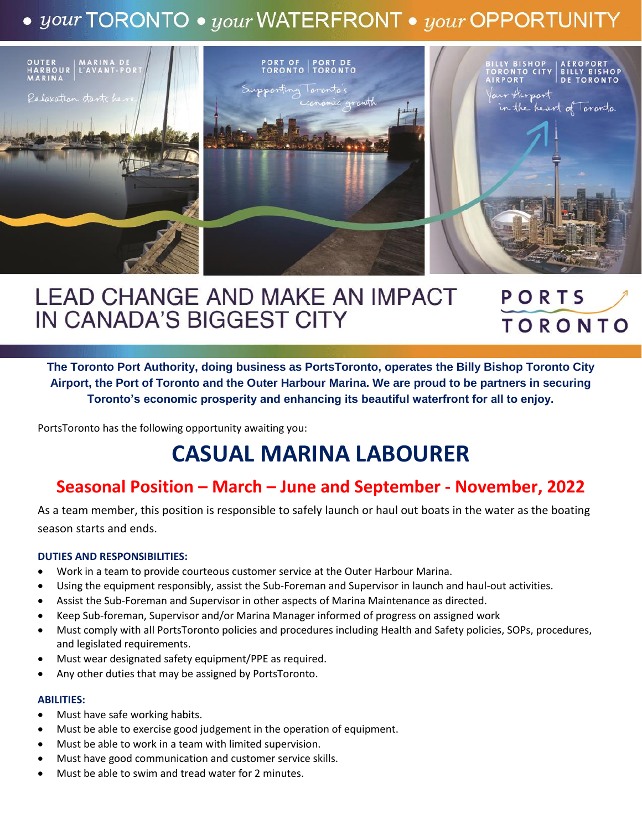## $\bullet$  your TORONTO  $\bullet$  your WATERFRONT  $\bullet$  your OPPORTUNITY



#### **LEAD CHANGE AND MAKE AN IMPACT** PORTS IN CANADA'S BIGGEST CITY **TORONTO**

**The Toronto Port Authority, doing business as PortsToronto, operates the Billy Bishop Toronto City Airport, the Port of Toronto and the Outer Harbour Marina. We are proud to be partners in securing Toronto's economic prosperity and enhancing its beautiful waterfront for all to enjoy.**

PortsToronto has the following opportunity awaiting you:

# **CASUAL MARINA LABOURER**

### **Seasonal Position – March – June and September - November, 2022**

As a team member, this position is responsible to safely launch or haul out boats in the water as the boating season starts and ends.

#### **DUTIES AND RESPONSIBILITIES:**

- Work in a team to provide courteous customer service at the Outer Harbour Marina.
- Using the equipment responsibly, assist the Sub-Foreman and Supervisor in launch and haul-out activities.
- Assist the Sub-Foreman and Supervisor in other aspects of Marina Maintenance as directed.
- Keep Sub-foreman, Supervisor and/or Marina Manager informed of progress on assigned work
- Must comply with all PortsToronto policies and procedures including Health and Safety policies, SOPs, procedures, and legislated requirements.
- Must wear designated safety equipment/PPE as required.
- Any other duties that may be assigned by PortsToronto.

#### **ABILITIES:**

- Must have safe working habits.
- Must be able to exercise good judgement in the operation of equipment.
- Must be able to work in a team with limited supervision.
- Must have good communication and customer service skills.
- Must be able to swim and tread water for 2 minutes.